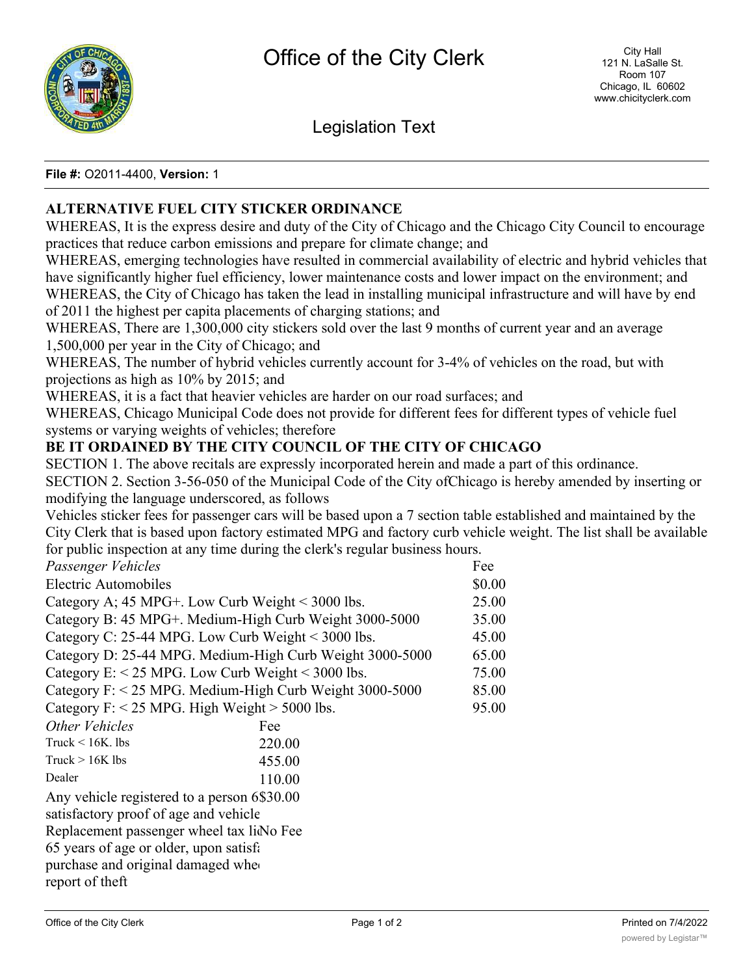

Legislation Text

## **File #:** O2011-4400, **Version:** 1

## **ALTERNATIVE FUEL CITY STICKER ORDINANCE**

WHEREAS, It is the express desire and duty of the City of Chicago and the Chicago City Council to encourage practices that reduce carbon emissions and prepare for climate change; and

WHEREAS, emerging technologies have resulted in commercial availability of electric and hybrid vehicles that have significantly higher fuel efficiency, lower maintenance costs and lower impact on the environment; and WHEREAS, the City of Chicago has taken the lead in installing municipal infrastructure and will have by end of 2011 the highest per capita placements of charging stations; and

WHEREAS, There are 1,300,000 city stickers sold over the last 9 months of current year and an average 1,500,000 per year in the City of Chicago; and

WHEREAS, The number of hybrid vehicles currently account for 3-4% of vehicles on the road, but with projections as high as 10% by 2015; and

WHEREAS, it is a fact that heavier vehicles are harder on our road surfaces; and

WHEREAS, Chicago Municipal Code does not provide for different fees for different types of vehicle fuel systems or varying weights of vehicles; therefore

## **BE IT ORDAINED BY THE CITY COUNCIL OF THE CITY OF CHICAGO**

SECTION 1. The above recitals are expressly incorporated herein and made a part of this ordinance. SECTION 2. Section 3-56-050 of the Municipal Code of the City ofChicago is hereby amended by inserting or modifying the language underscored, as follows

Vehicles sticker fees for passenger cars will be based upon a 7 section table established and maintained by the City Clerk that is based upon factory estimated MPG and factory curb vehicle weight. The list shall be available for public inspection at any time during the clerk's regular business hours.

| Passenger Vehicles                                        |        | Fee    |
|-----------------------------------------------------------|--------|--------|
| <b>Electric Automobiles</b>                               |        | \$0.00 |
| Category A; 45 MPG+. Low Curb Weight < 3000 lbs.          |        | 25.00  |
| Category B: 45 MPG+. Medium-High Curb Weight 3000-5000    |        | 35.00  |
| Category C: 25-44 MPG. Low Curb Weight < 3000 lbs.        |        | 45.00  |
| Category D: 25-44 MPG. Medium-High Curb Weight 3000-5000  |        | 65.00  |
| Category E: < 25 MPG. Low Curb Weight < 3000 lbs.         |        | 75.00  |
| Category $F: < 25$ MPG. Medium-High Curb Weight 3000-5000 |        | 85.00  |
| Category $F: < 25$ MPG. High Weight $> 5000$ lbs.         |        | 95.00  |
| Other Vehicles                                            | Fee    |        |
| Truck $\leq 16K$ . lbs                                    | 220.00 |        |
| Truck $> 16K$ lbs                                         | 455.00 |        |
| Dealer                                                    | 110.00 |        |
| Any vehicle registered to a person 6\$30.00               |        |        |
| satisfactory proof of age and vehicle                     |        |        |
| Replacement passenger wheel tax liNo Fee                  |        |        |
| 65 years of age or older, upon satisfa                    |        |        |
| purchase and original damaged when                        |        |        |
| report of theft                                           |        |        |
|                                                           |        |        |

25.00